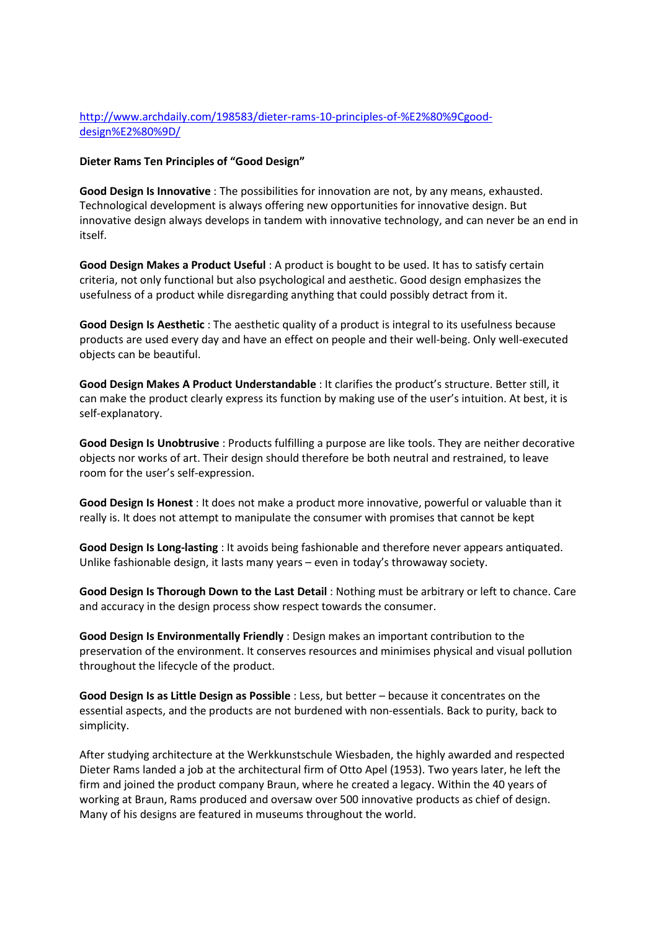## [http://www.archdaily.com/198583/dieter-rams-10-principles-of-%E2%80%9Cgood](http://www.archdaily.com/198583/dieter-rams-10-principles-of-%E2%80%9Cgood-design%E2%80%9D/)[design%E2%80%9D/](http://www.archdaily.com/198583/dieter-rams-10-principles-of-%E2%80%9Cgood-design%E2%80%9D/)

## **Dieter Rams Ten Principles of "Good Design"**

**Good Design Is Innovative** : The possibilities for innovation are not, by any means, exhausted. Technological development is always offering new opportunities for innovative design. But innovative design always develops in tandem with innovative technology, and can never be an end in itself.

**Good Design Makes a Product Useful** : A product is bought to be used. It has to satisfy certain criteria, not only functional but also psychological and aesthetic. Good design emphasizes the usefulness of a product while disregarding anything that could possibly detract from it.

**Good Design Is Aesthetic** : The aesthetic quality of a product is integral to its usefulness because products are used every day and have an effect on people and their well-being. Only well-executed objects can be beautiful.

**Good Design Makes A Product Understandable** : It clarifies the product's structure. Better still, it can make the product clearly express its function by making use of the user's intuition. At best, it is self-explanatory.

**Good Design Is Unobtrusive** : Products fulfilling a purpose are like tools. They are neither decorative objects nor works of art. Their design should therefore be both neutral and restrained, to leave room for the user's self-expression.

**Good Design Is Honest** : It does not make a product more innovative, powerful or valuable than it really is. It does not attempt to manipulate the consumer with promises that cannot be kept

**Good Design Is Long-lasting** : It avoids being fashionable and therefore never appears antiquated. Unlike fashionable design, it lasts many years – even in today's throwaway society.

**Good Design Is Thorough Down to the Last Detail** : Nothing must be arbitrary or left to chance. Care and accuracy in the design process show respect towards the consumer.

**Good Design Is Environmentally Friendly** : Design makes an important contribution to the preservation of the environment. It conserves resources and minimises physical and visual pollution throughout the lifecycle of the product.

**Good Design Is as Little Design as Possible** : Less, but better – because it concentrates on the essential aspects, and the products are not burdened with non-essentials. Back to purity, back to simplicity.

After studying architecture at the Werkkunstschule Wiesbaden, the highly awarded and respected Dieter Rams landed a job at the architectural firm of Otto Apel (1953). Two years later, he left the firm and joined the product company Braun, where he created a legacy. Within the 40 years of working at Braun, Rams produced and oversaw over 500 innovative products as chief of design. Many of his designs are featured in museums throughout the world.